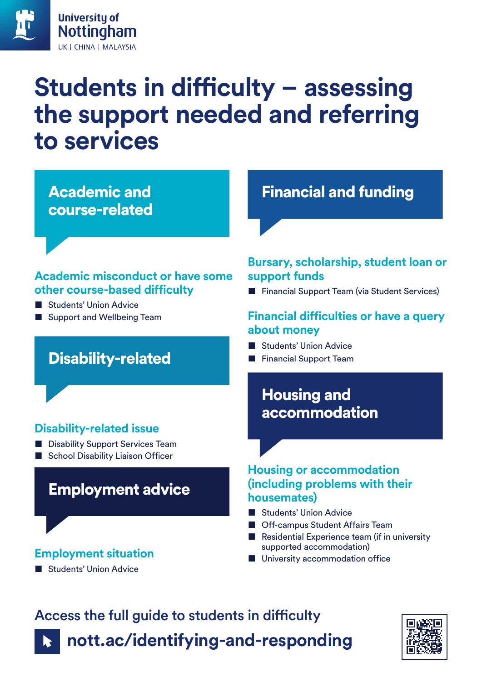

# **Students in difficulty – assessing the support needed and referring to services**

Academic and course-related

### **Academic misconduct or have some other course-based difficulty**

- Students' Union Advice
- **Support and Wellbeing Team**

### Disability-related

### **Disability-related issue**

- Disability Support Services Team
- School Disability Liaison Officer

### Employment advice

#### **Employment situation**

**Students' Union Advice** 

Financial and funding

### **Bursary, scholarship, student loan or support funds**

■ Financial Support Team (via Student Services)

### **Financial difficulties or have a query about money**

- **Students' Union Advice**
- Financial Support Team

### Housing and accommodation

#### **Housing or accommodation (including problems with their housemates)**

- Students' Union Advice
- **Off-campus Student Affairs Team**
- Residential Experience team (if in university supported accommodation)
- University accommodation office

# Access the full guide to students in difficulty **[nott.ac/identifying-and-responding](http://nott.ac/identifying-and-responding)**